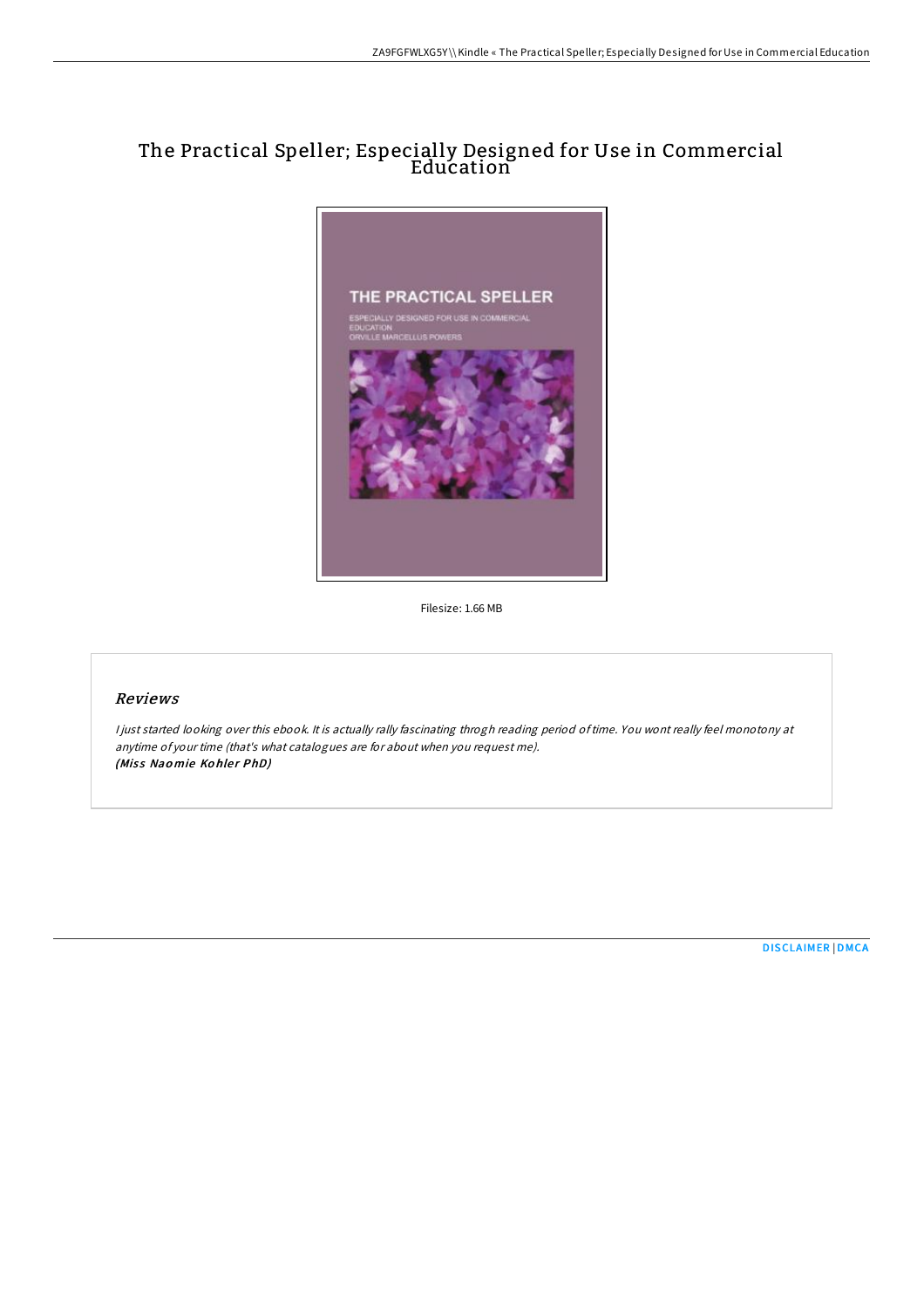## The Practical Speller; Especially Designed for Use in Commercial Education



Filesize: 1.66 MB

## Reviews

<sup>I</sup> just started looking over this ebook. It is actually rally fascinating throgh reading period oftime. You wont really feel monotony at anytime of your time (that's what catalogues are for about when you request me). (Miss Naomie Kohler PhD)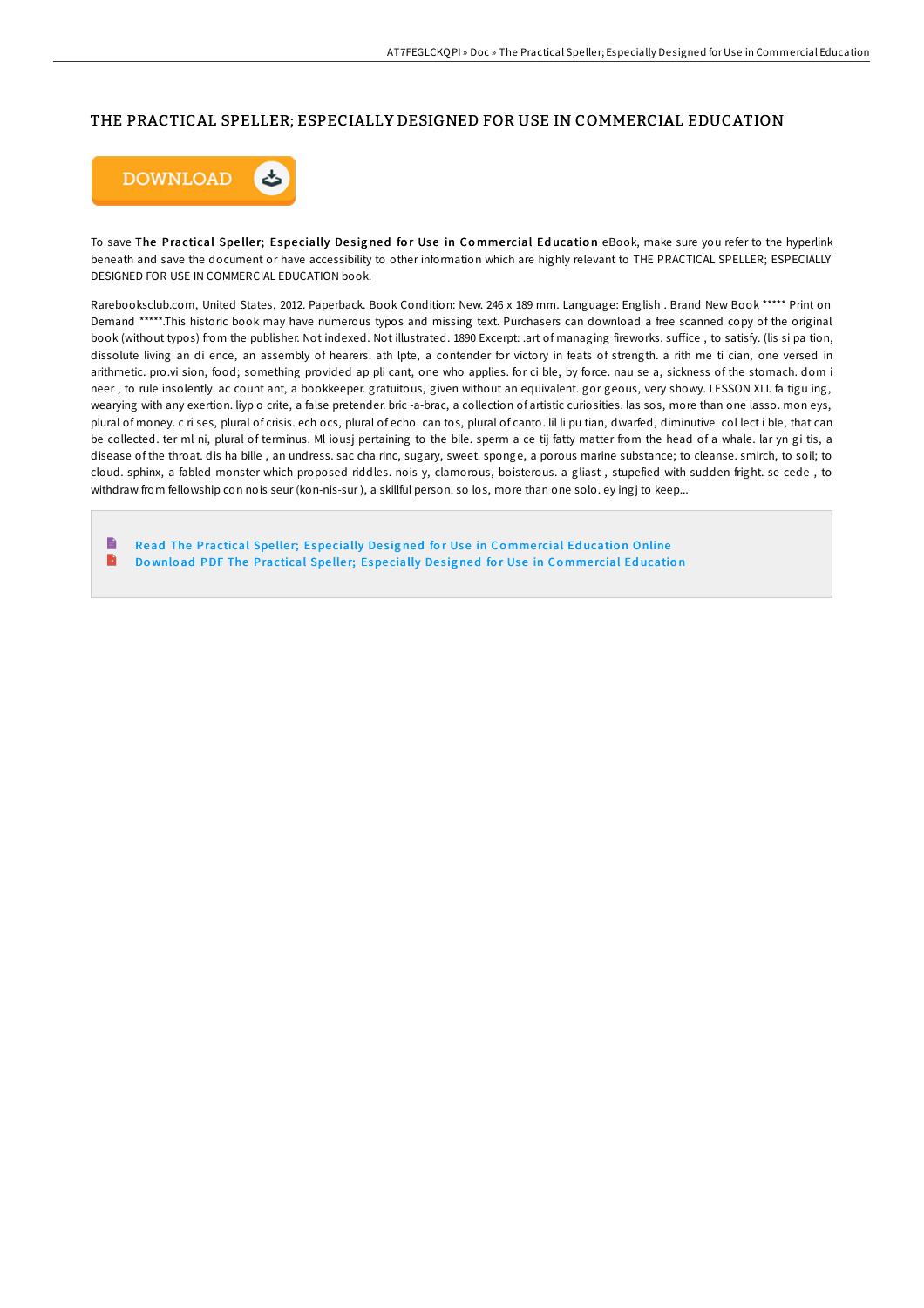## THE PRACTICAL SPELLER; ESPECIALLY DESIGNED FOR USE IN COMMERCIAL EDUCATION



To save The Practical Speller; Especially Designed for Use in Commercial Education eBook, make sure you refer to the hyperlink beneath and save the document or have accessibility to other information which are highly relevant to THE PRACTICAL SPELLER; ESPECIALLY DESIGNED FOR USE IN COMMERCIAL EDUCATION book.

Rarebooksclub.com, United States, 2012. Paperback. Book Condition: New. 246 x 189 mm. Language: English . Brand New Book \*\*\*\*\* Print on Demand \*\*\*\*\*.This historic book may have numerous typos and missing text. Purchasers can download a free scanned copy of the original book (without typos) from the publisher. Not indexed. Not illustrated. 1890 Excerpt: .art of managing fireworks. suffice, to satisfy. (lis si pa tion, dissolute living an di ence, an assembly of hearers. ath lpte, a contender for victory in feats of strength. a rith me ti cian, one versed in arithmetic. pro.vi sion, food; something provided ap pli cant, one who applies. for ci ble, by force. nau se a, sickness of the stomach. dom i neer, to rule insolently. ac count ant, a bookkeeper. gratuitous, given without an equivalent. gor geous, very showy. LESSON XLI. fa tigu ing, wearying with any exertion. liyp o crite, a false pretender, bric -a-brac, a collection of artistic curiosities, las sos, more than one lasso, mon eys, plural of money. c ri ses, plural of crisis. ech ocs, plural of echo. can tos, plural of canto. lil li pu tian, dwarfed, diminutive. col lect i ble, that can be collected. ter ml ni, plural of terminus. Ml iousj pertaining to the bile. sperm a ce tij fatty matter from the head of a whale. Iar yn gi tis, a disease of the throat. dis ha bille, an undress. sac cha rinc, sugary, sweet. sponge, a porous marine substance; to cleanse. smirch, to soil; to cloud. sphinx, a fabled monster which proposed riddles. nois y, clamorous, boisterous. a gliast, stupefied with sudden fright. se cede, to withdraw from fellowship con nois seur (kon-nis-sur), a skillful person. so los, more than one solo. ey ingj to keep...

Read The Practical Speller; Especially Designed for Use in Commercial Education Online  $\rightarrow$ Download PDF The Practical Speller; Especially Designed for Use in Commercial Education